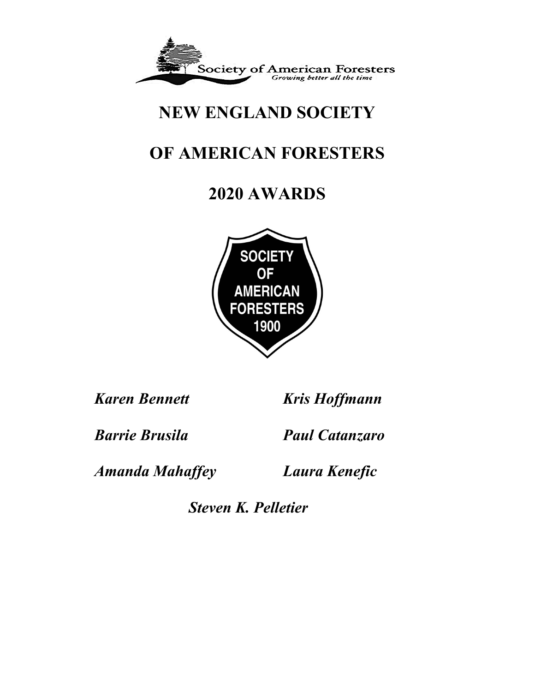

# **NEW ENGLAND SOCIETY**

# **OF AMERICAN FORESTERS**

# **2020 AWARDS**



*Karen Bennett Kris Hoffmann*

*Barrie Brusila Paul Catanzaro*

*Amanda Mahaffey Laura Kenefic*

*Steven K. Pelletier*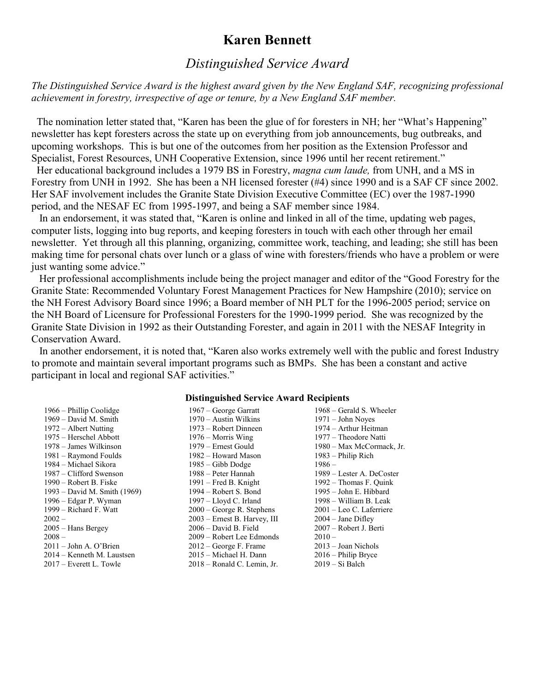## **Karen Bennett**

## *Distinguished Service Award*

*The Distinguished Service Award is the highest award given by the New England SAF, recognizing professional achievement in forestry, irrespective of age or tenure, by a New England SAF member.*

 The nomination letter stated that, "Karen has been the glue of for foresters in NH; her "What's Happening" newsletter has kept foresters across the state up on everything from job announcements, bug outbreaks, and upcoming workshops. This is but one of the outcomes from her position as the Extension Professor and Specialist, Forest Resources, UNH Cooperative Extension, since 1996 until her recent retirement."

 Her educational background includes a 1979 BS in Forestry, *magna cum laude,* from UNH, and a MS in Forestry from UNH in 1992. She has been a NH licensed forester (#4) since 1990 and is a SAF CF since 2002. Her SAF involvement includes the Granite State Division Executive Committee (EC) over the 1987-1990 period, and the NESAF EC from 1995-1997, and being a SAF member since 1984.

 In an endorsement, it was stated that, "Karen is online and linked in all of the time, updating web pages, computer lists, logging into bug reports, and keeping foresters in touch with each other through her email newsletter. Yet through all this planning, organizing, committee work, teaching, and leading; she still has been making time for personal chats over lunch or a glass of wine with foresters/friends who have a problem or were just wanting some advice."

 Her professional accomplishments include being the project manager and editor of the "Good Forestry for the Granite State: Recommended Voluntary Forest Management Practices for New Hampshire (2010); service on the NH Forest Advisory Board since 1996; a Board member of NH PLT for the 1996-2005 period; service on the NH Board of Licensure for Professional Foresters for the 1990-1999 period. She was recognized by the Granite State Division in 1992 as their Outstanding Forester, and again in 2011 with the NESAF Integrity in Conservation Award.

 In another endorsement, it is noted that, "Karen also works extremely well with the public and forest Industry to promote and maintain several important programs such as BMPs. She has been a constant and active participant in local and regional SAF activities."

#### **Distinguished Service Award Recipients**

| $1966 - Philip Coolidge$     | $1967$ – George Garratt      | 1968 – Gerald S. Wheeler    |
|------------------------------|------------------------------|-----------------------------|
| $1969$ – David M. Smith      | 1970 – Austin Wilkins        | $1971 - John Noyes$         |
| $1972 -$ Albert Nutting      | 1973 – Robert Dinneen        | 1974 – Arthur Heitman       |
| 1975 – Herschel Abbott       | $1976 - Morris$ Wing         | 1977 – Theodore Natti       |
| 1978 – James Wilkinson       | 1979 – Ernest Gould          | 1980 – Max McCormack, Jr.   |
| 1981 – Raymond Foulds        | 1982 – Howard Mason          | $1983$ – Philip Rich        |
| 1984 – Michael Sikora        | $1985 - Gibb$ Dodge          | $1986-$                     |
| 1987 – Clifford Swenson      | 1988 – Peter Hannah          | 1989 – Lester A. DeCoster   |
| $1990 - Robert B. Fiske$     | 1991 – Fred B. Knight        | $1992 - Thomas F. Quink$    |
| 1993 – David M. Smith (1969) | 1994 – Robert S. Bond        | 1995 - John E. Hibbard      |
| 1996 – Edgar P. Wyman        | 1997 – Lloyd C. Irland       | 1998 – William B. Leak      |
| $1999 - Richard F. Watt$     | $2000$ – George R. Stephens  | $2001 - Leo C$ . Laferriere |
| $2002 -$                     | 2003 – Ernest B. Harvey, III | $2004 - Jane Difley$        |
| $2005 -$ Hans Bergey         | $2006 - David B. Field$      | 2007 – Robert J. Berti      |
| $2008 -$                     | 2009 – Robert Lee Edmonds    | $2010 -$                    |
| $2011 - John A. O'Brien$     | $2012$ – George F. Frame     | $2013 -$ Joan Nichols       |
| 2014 – Kenneth M. Laustsen   | 2015 – Michael H. Dann       | $2016 - Philip$ Bryce       |
| $2017$ – Everett L. Towle    | 2018 – Ronald C. Lemin, Jr.  | $2019 - Si Balch$           |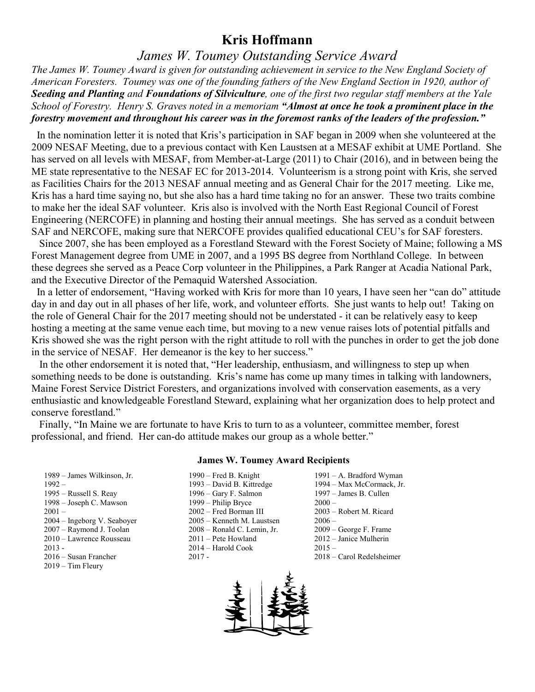## **Kris Hoffmann**

### *James W. Toumey Outstanding Service Award*

*The James W. Toumey Award is given for outstanding achievement in service to the New England Society of American Foresters. Toumey was one of the founding fathers of the New England Section in 1920, author of Seeding and Planting and Foundations of Silviculture, one of the first two regular staff members at the Yale School of Forestry. Henry S. Graves noted in a memoriam "Almost at once he took a prominent place in the forestry movement and throughout his career was in the foremost ranks of the leaders of the profession."*

 In the nomination letter it is noted that Kris's participation in SAF began in 2009 when she volunteered at the 2009 NESAF Meeting, due to a previous contact with Ken Laustsen at a MESAF exhibit at UME Portland. She has served on all levels with MESAF, from Member-at-Large (2011) to Chair (2016), and in between being the ME state representative to the NESAF EC for 2013-2014. Volunteerism is a strong point with Kris, she served as Facilities Chairs for the 2013 NESAF annual meeting and as General Chair for the 2017 meeting. Like me, Kris has a hard time saying no, but she also has a hard time taking no for an answer. These two traits combine to make her the ideal SAF volunteer. Kris also is involved with the North East Regional Council of Forest Engineering (NERCOFE) in planning and hosting their annual meetings. She has served as a conduit between SAF and NERCOFE, making sure that NERCOFE provides qualified educational CEU's for SAF foresters.

 Since 2007, she has been employed as a Forestland Steward with the Forest Society of Maine; following a MS Forest Management degree from UME in 2007, and a 1995 BS degree from Northland College. In between these degrees she served as a Peace Corp volunteer in the Philippines, a Park Ranger at Acadia National Park, and the Executive Director of the Pemaquid Watershed Association.

 In a letter of endorsement, "Having worked with Kris for more than 10 years, I have seen her "can do" attitude day in and day out in all phases of her life, work, and volunteer efforts. She just wants to help out! Taking on the role of General Chair for the 2017 meeting should not be understated - it can be relatively easy to keep hosting a meeting at the same venue each time, but moving to a new venue raises lots of potential pitfalls and Kris showed she was the right person with the right attitude to roll with the punches in order to get the job done in the service of NESAF. Her demeanor is the key to her success."

 In the other endorsement it is noted that, "Her leadership, enthusiasm, and willingness to step up when something needs to be done is outstanding. Kris's name has come up many times in talking with landowners, Maine Forest Service District Foresters, and organizations involved with conservation easements, as a very enthusiastic and knowledgeable Forestland Steward, explaining what her organization does to help protect and conserve forestland."

 Finally, "In Maine we are fortunate to have Kris to turn to as a volunteer, committee member, forest professional, and friend. Her can-do attitude makes our group as a whole better."

#### **James W. Toumey Award Recipients**

- 1989 James Wilkinson, Jr. 1990 Fred B. Knight 1991 A. Bradford Wyman<br>1992 1993 David B. Kittredge 1994 Max McCormack, Jr. 2016 – Susan Francher 2017 - 2018 – Carol Redelsheimer 2019 – Tim Fleury
- 1992 1993 David B. Kittredge 1994 Max McCormack, Jr. 1995 – Russell S. Reay 1996 – Gary F. Salmon 1997 – James B. Cullen 1998 – Joseph C. Mawson 1999 – Philip Bryce 2000 – 2001 – 2002 – Fred Borman III 2003 – Robert M. Ricard 2004 – Ingeborg V. Seaboyer 2005 – Kenneth M. Laustsen 2006 – 2007 – Raymond J. Toolan 2008 – Ronald C. Lemin, Jr. 2009 – George F. Frame 2010 – Lawrence Rousseau 2011 – Pete Howland 2012 – Janice Mulherin 2013 - 2014 – Harold Cook 2015 –
- 

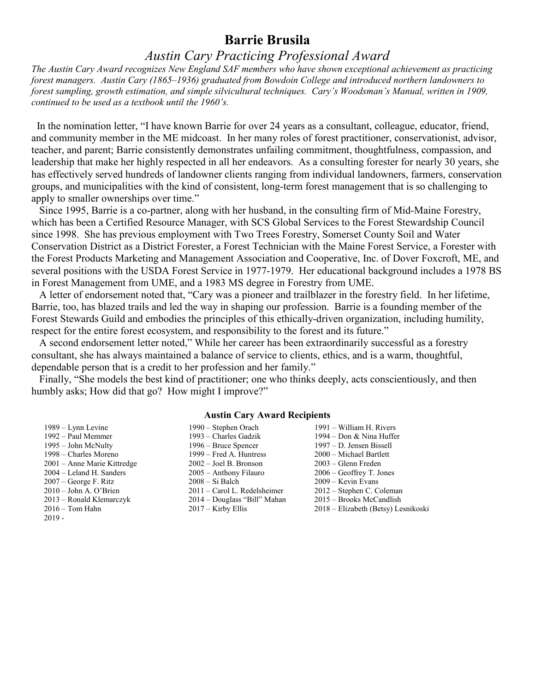## **Barrie Brusila**

## *Austin Cary Practicing Professional Award*

*The Austin Cary Award recognizes New England SAF members who have shown exceptional achievement as practicing forest managers. Austin Cary (1865–1936) graduated from Bowdoin College and introduced northern landowners to*  forest sampling, growth estimation, and simple silvicultural techniques. Cary's Woodsman's Manual, written in 1909, *continued to be used as a textbook until the 1960's.*

 In the nomination letter, "I have known Barrie for over 24 years as a consultant, colleague, educator, friend, and community member in the ME midcoast. In her many roles of forest practitioner, conservationist, advisor, teacher, and parent; Barrie consistently demonstrates unfailing commitment, thoughtfulness, compassion, and leadership that make her highly respected in all her endeavors. As a consulting forester for nearly 30 years, she has effectively served hundreds of landowner clients ranging from individual landowners, farmers, conservation groups, and municipalities with the kind of consistent, long-term forest management that is so challenging to apply to smaller ownerships over time."

 Since 1995, Barrie is a co-partner, along with her husband, in the consulting firm of Mid-Maine Forestry, which has been a Certified Resource Manager, with SCS Global Services to the Forest Stewardship Council since 1998. She has previous employment with Two Trees Forestry, Somerset County Soil and Water Conservation District as a District Forester, a Forest Technician with the Maine Forest Service, a Forester with the Forest Products Marketing and Management Association and Cooperative, Inc. of Dover Foxcroft, ME, and several positions with the USDA Forest Service in 1977-1979. Her educational background includes a 1978 BS in Forest Management from UME, and a 1983 MS degree in Forestry from UME.

 A letter of endorsement noted that, "Cary was a pioneer and trailblazer in the forestry field. In her lifetime, Barrie, too, has blazed trails and led the way in shaping our profession. Barrie is a founding member of the Forest Stewards Guild and embodies the principles of this ethically-driven organization, including humility, respect for the entire forest ecosystem, and responsibility to the forest and its future."

 A second endorsement letter noted," While her career has been extraordinarily successful as a forestry consultant, she has always maintained a balance of service to clients, ethics, and is a warm, thoughtful, dependable person that is a credit to her profession and her family."

 Finally, "She models the best kind of practitioner; one who thinks deeply, acts conscientiously, and then humbly asks; How did that go? How might I improve?"

#### **Austin Cary Award Recipients**

- $2019 -$
- 1989 Lynn Levine 1990 Stephen Orach 1991 William H. Rivers 1992 – Paul Memmer 1993 – Charles Gadzik 1994 – Don & Nina Huffer 1995 – John McNulty 1996 – Bruce Spencer 1997 – D. Jensen Bissell 1998 – Charles Moreno 1999 – Fred A. Huntress 2000 – Michael Bartlett 2001 – Anne Marie Kittredge 2002 – Joel B. Bronson 2003 – Glenn Freden 2004 – Leland H. Sanders 2005 – Anthony Filauro 2006 – Geoffrey T. Jones 2007 – George F. Ritz 2008 – Si Balch 2009 – Kevin Evans 2010 – John A. O'Brien 2011 – Carol L. Redelsheimer 2012 – Stephen C. Coleman 2013 – Ronald Klemarczyk 2014 – Douglass "Bill" Mahan 2015 – Brooks McCandlish 2016 – Tom Hahn 2017 – Kirby Ellis 2018 – Elizabeth (Betsy) Lesnikoski
-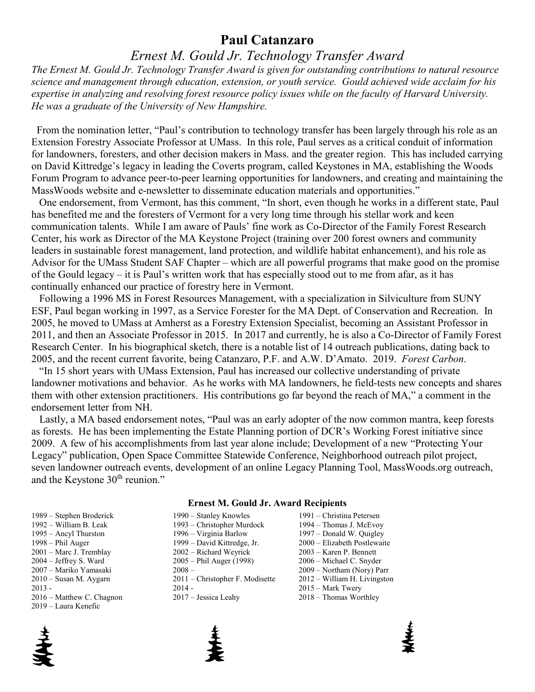### **Paul Catanzaro**

## *Ernest M. Gould Jr. Technology Transfer Award*

*The Ernest M. Gould Jr. Technology Transfer Award is given for outstanding contributions to natural resource science and management through education, extension, or youth service. Gould achieved wide acclaim for his expertise in analyzing and resolving forest resource policy issues while on the faculty of Harvard University. He was a graduate of the University of New Hampshire.*

 From the nomination letter, "Paul's contribution to technology transfer has been largely through his role as an Extension Forestry Associate Professor at UMass. In this role, Paul serves as a critical conduit of information for landowners, foresters, and other decision makers in Mass. and the greater region. This has included carrying on David Kittredge's legacy in leading the Coverts program, called Keystones in MA, establishing the Woods Forum Program to advance peer-to-peer learning opportunities for landowners, and creating and maintaining the MassWoods website and e-newsletter to disseminate education materials and opportunities."

 One endorsement, from Vermont, has this comment, "In short, even though he works in a different state, Paul has benefited me and the foresters of Vermont for a very long time through his stellar work and keen communication talents. While I am aware of Pauls' fine work as Co-Director of the Family Forest Research Center, his work as Director of the MA Keystone Project (training over 200 forest owners and community leaders in sustainable forest management, land protection, and wildlife habitat enhancement), and his role as Advisor for the UMass Student SAF Chapter – which are all powerful programs that make good on the promise of the Gould legacy – it is Paul's written work that has especially stood out to me from afar, as it has continually enhanced our practice of forestry here in Vermont.

 Following a 1996 MS in Forest Resources Management, with a specialization in Silviculture from SUNY ESF, Paul began working in 1997, as a Service Forester for the MA Dept. of Conservation and Recreation. In 2005, he moved to UMass at Amherst as a Forestry Extension Specialist, becoming an Assistant Professor in 2011, and then an Associate Professor in 2015. In 2017 and currently, he is also a Co-Director of Family Forest Research Center. In his biographical sketch, there is a notable list of 14 outreach publications, dating back to 2005, and the recent current favorite, being Catanzaro, P.F. and A.W. D'Amato. 2019. *Forest Carbon*.

 "In 15 short years with UMass Extension, Paul has increased our collective understanding of private landowner motivations and behavior. As he works with MA landowners, he field-tests new concepts and shares them with other extension practitioners. His contributions go far beyond the reach of MA," a comment in the endorsement letter from NH.

 Lastly, a MA based endorsement notes, "Paul was an early adopter of the now common mantra, keep forests as forests. He has been implementing the Estate Planning portion of DCR's Working Forest initiative since 2009. A few of his accomplishments from last year alone include; Development of a new "Protecting Your Legacy" publication, Open Space Committee Statewide Conference, Neighborhood outreach pilot project, seven landowner outreach events, development of an online Legacy Planning Tool, MassWoods.org outreach, and the Keystone 30<sup>th</sup> reunion."

#### **Ernest M. Gould Jr. Award Recipients**

| 1989 – Stephen Broderick  | 1990 – Stanley Knowles            | 1991 – Christina Petersen           |
|---------------------------|-----------------------------------|-------------------------------------|
| 1992 – William B. Leak    | 1993 – Christopher Murdock        | 1994 – Thomas J. McEvoy             |
| 1995 – Ancyl Thurston     | 1996 – Virginia Barlow            | $1997 - Donald W. Ouigley$          |
| $1998 - Phil Auger$       | 1999 – David Kittredge, Jr.       | 2000 - Elizabeth Postlewaite        |
| 2001 – Marc J. Tremblay   | $2002 - Richard Weyrick$          | $2003 -$ Karen P. Bennett           |
| $2004 - Jeffrey S. Ward$  | $2005 - Phil Auger (1998)$        | 2006 – Michael C. Snyder            |
| 2007 – Mariko Yamasaki    | $2008 -$                          | $2009 - \text{Northam (Nory) Parr}$ |
| $2010 -$ Susan M. Aygarn  | $2011$ – Christopher F. Modisette | 2012 – William H. Livingston        |
| $2013 -$                  | $2014 -$                          | $2015 - Mark Twery$                 |
| 2016 – Matthew C. Chagnon | $2017 - J$ essica Leahv           | $2018 -$ Thomas Worthley            |



2019 – Laura Kenefic



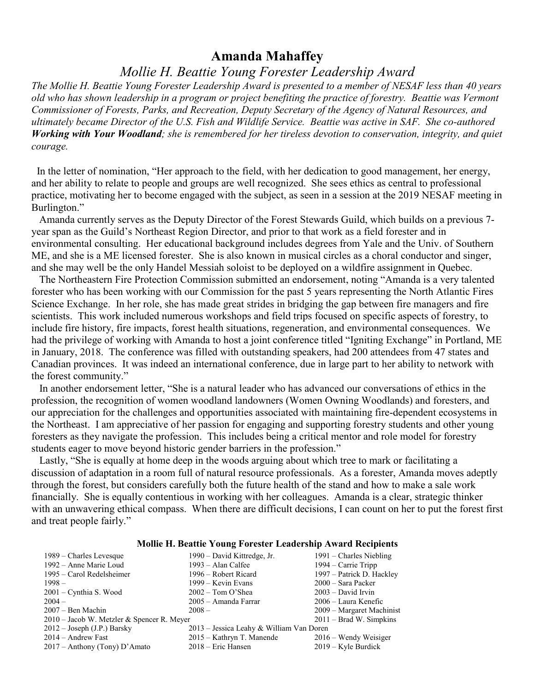#### **Amanda Mahaffey**

*Mollie H. Beattie Young Forester Leadership Award*

*The Mollie H. Beattie Young Forester Leadership Award is presented to a member of NESAF less than 40 years old who has shown leadership in a program or project benefiting the practice of forestry. Beattie was Vermont Commissioner of Forests, Parks, and Recreation, Deputy Secretary of the Agency of Natural Resources, and ultimately became Director of the U.S. Fish and Wildlife Service. Beattie was active in SAF. She co-authored Working with Your Woodland; she is remembered for her tireless devotion to conservation, integrity, and quiet courage.*

 In the letter of nomination, "Her approach to the field, with her dedication to good management, her energy, and her ability to relate to people and groups are well recognized. She sees ethics as central to professional practice, motivating her to become engaged with the subject, as seen in a session at the 2019 NESAF meeting in Burlington."

 Amanda currently serves as the Deputy Director of the Forest Stewards Guild, which builds on a previous 7 year span as the Guild's Northeast Region Director, and prior to that work as a field forester and in environmental consulting. Her educational background includes degrees from Yale and the Univ. of Southern ME, and she is a ME licensed forester. She is also known in musical circles as a choral conductor and singer, and she may well be the only Handel Messiah soloist to be deployed on a wildfire assignment in Quebec.

 The Northeastern Fire Protection Commission submitted an endorsement, noting "Amanda is a very talented forester who has been working with our Commission for the past 5 years representing the North Atlantic Fires Science Exchange. In her role, she has made great strides in bridging the gap between fire managers and fire scientists. This work included numerous workshops and field trips focused on specific aspects of forestry, to include fire history, fire impacts, forest health situations, regeneration, and environmental consequences. We had the privilege of working with Amanda to host a joint conference titled "Igniting Exchange" in Portland, ME in January, 2018. The conference was filled with outstanding speakers, had 200 attendees from 47 states and Canadian provinces. It was indeed an international conference, due in large part to her ability to network with the forest community."

 In another endorsement letter, "She is a natural leader who has advanced our conversations of ethics in the profession, the recognition of women woodland landowners (Women Owning Woodlands) and foresters, and our appreciation for the challenges and opportunities associated with maintaining fire-dependent ecosystems in the Northeast. I am appreciative of her passion for engaging and supporting forestry students and other young foresters as they navigate the profession. This includes being a critical mentor and role model for forestry students eager to move beyond historic gender barriers in the profession."

 Lastly, "She is equally at home deep in the woods arguing about which tree to mark or facilitating a discussion of adaptation in a room full of natural resource professionals. As a forester, Amanda moves adeptly through the forest, but considers carefully both the future health of the stand and how to make a sale work financially. She is equally contentious in working with her colleagues. Amanda is a clear, strategic thinker with an unwavering ethical compass. When there are difficult decisions, I can count on her to put the forest first and treat people fairly."

#### **Mollie H. Beattie Young Forester Leadership Award Recipients**

| 1989 – Charles Levesque                      | 1990 – David Kittredge, Jr.              | $1991$ – Charles Niebling |
|----------------------------------------------|------------------------------------------|---------------------------|
| 1992 – Anne Marie Loud                       | $1993 - Alan Calfee$                     | $1994$ – Carrie Tripp     |
| 1995 – Carol Redelsheimer                    | 1996 – Robert Ricard                     | 1997 - Patrick D. Hackley |
| $1998 -$                                     | 1999 – Kevin Evans                       | $2000 - Sara$ Packer      |
| $2001$ – Cynthia S. Wood                     | $2002 - Tom O'Shea$                      | $2003 - David Irvin$      |
| $2004 -$                                     | 2005 – Amanda Farrar                     | 2006 – Laura Kenefic      |
| $2007 - \text{Ben Machin}$                   | $2008 -$                                 | 2009 – Margaret Machinist |
| $2010$ – Jacob W. Metzler & Spencer R. Meyer |                                          | $2011 - Brad$ W. Simpkins |
| $2012 - Joseph (J.P.)$ Barsky                | 2013 – Jessica Leahy & William Van Doren |                           |
| $2014$ – Andrew Fast                         | 2015 – Kathryn T. Manende                | $2016 -$ Wendy Weisiger   |
| $2017$ – Anthony (Tony) D'Amato              | $2018$ – Eric Hansen                     | $2019 -$ Kyle Burdick     |
|                                              |                                          |                           |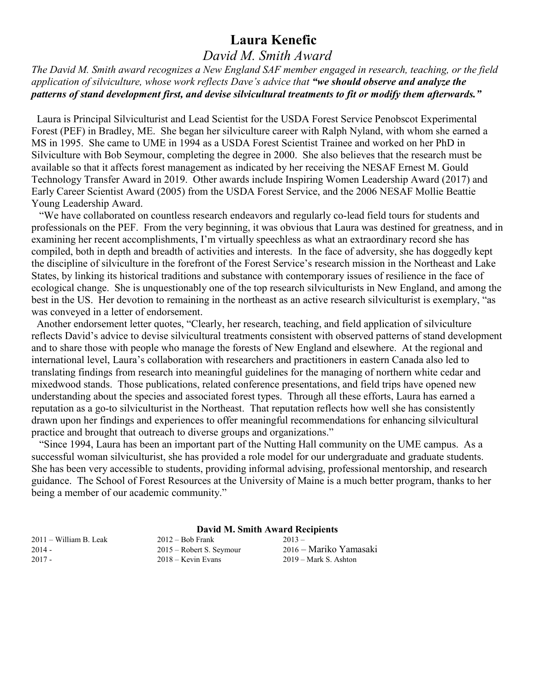# **Laura Kenefic**

## *David M. Smith Award*

*The David M. Smith award recognizes a New England SAF member engaged in research, teaching, or the field application of silviculture, whose work reflects Dave's advice that "we should observe and analyze the patterns of stand development first, and devise silvicultural treatments to fit or modify them afterwards."*

 Laura is Principal Silviculturist and Lead Scientist for the USDA Forest Service Penobscot Experimental Forest (PEF) in Bradley, ME. She began her silviculture career with Ralph Nyland, with whom she earned a MS in 1995. She came to UME in 1994 as a USDA Forest Scientist Trainee and worked on her PhD in Silviculture with Bob Seymour, completing the degree in 2000. She also believes that the research must be available so that it affects forest management as indicated by her receiving the NESAF Ernest M. Gould Technology Transfer Award in 2019. Other awards include Inspiring Women Leadership Award (2017) and Early Career Scientist Award (2005) from the USDA Forest Service, and the 2006 NESAF Mollie Beattie Young Leadership Award.

 "We have collaborated on countless research endeavors and regularly co-lead field tours for students and professionals on the PEF. From the very beginning, it was obvious that Laura was destined for greatness, and in examining her recent accomplishments, I'm virtually speechless as what an extraordinary record she has compiled, both in depth and breadth of activities and interests. In the face of adversity, she has doggedly kept the discipline of silviculture in the forefront of the Forest Service's research mission in the Northeast and Lake States, by linking its historical traditions and substance with contemporary issues of resilience in the face of ecological change. She is unquestionably one of the top research silviculturists in New England, and among the best in the US. Her devotion to remaining in the northeast as an active research silviculturist is exemplary, "as was conveyed in a letter of endorsement.

 Another endorsement letter quotes, "Clearly, her research, teaching, and field application of silviculture reflects David's advice to devise silvicultural treatments consistent with observed patterns of stand development and to share those with people who manage the forests of New England and elsewhere. At the regional and international level, Laura's collaboration with researchers and practitioners in eastern Canada also led to translating findings from research into meaningful guidelines for the managing of northern white cedar and mixedwood stands. Those publications, related conference presentations, and field trips have opened new understanding about the species and associated forest types. Through all these efforts, Laura has earned a reputation as a go-to silviculturist in the Northeast. That reputation reflects how well she has consistently drawn upon her findings and experiences to offer meaningful recommendations for enhancing silvicultural practice and brought that outreach to diverse groups and organizations."

 "Since 1994, Laura has been an important part of the Nutting Hall community on the UME campus. As a successful woman silviculturist, she has provided a role model for our undergraduate and graduate students. She has been very accessible to students, providing informal advising, professional mentorship, and research guidance. The School of Forest Resources at the University of Maine is a much better program, thanks to her being a member of our academic community."

|                          | David M. Smith Award Recipients |                          |  |
|--------------------------|---------------------------------|--------------------------|--|
| $2011 -$ William B. Leak | $2012 - Bob$ Frank              | $2013 -$                 |  |
| $2014 -$                 | 2015 – Robert S. Seymour        | 2016 – Mariko Yamasaki   |  |
| $2017 -$                 | $2018 -$ Kevin Evans            | $2019 - Mark S$ . Ashton |  |